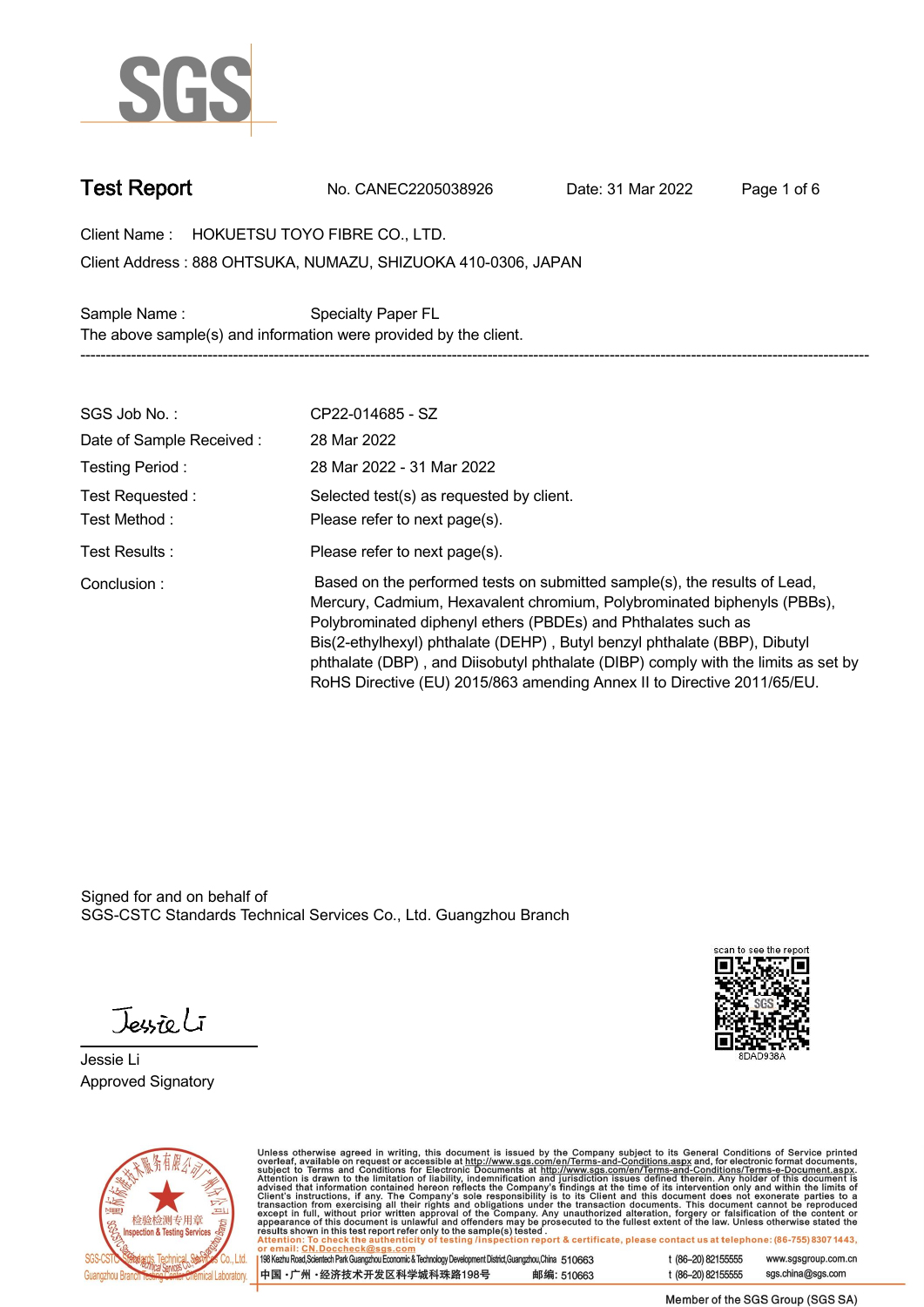

**Test Report. No. CANEC2205038926 . Date: 31 Mar 2022 . Page 1 of 6.**

**Client Name : HOKUETSU TOYO FIBRE CO., LTD. .**

**888 OHTSUKA, NUMAZU, SHIZUOKA 410-0306, JAPAN . Client Address :**

Sample Name : **Specialty Paper FL. The above sample(s) and information were provided by the client. -----------------------------------------------------------------------------------------------------------------------------------------------------------**

| SGS Job No.:                     | CP22-014685 - SZ                                                                                                                                                                                                                                                                                                                                                                                                                                                   |
|----------------------------------|--------------------------------------------------------------------------------------------------------------------------------------------------------------------------------------------------------------------------------------------------------------------------------------------------------------------------------------------------------------------------------------------------------------------------------------------------------------------|
| Date of Sample Received:         | 28 Mar 2022                                                                                                                                                                                                                                                                                                                                                                                                                                                        |
| Testing Period:                  | 28 Mar 2022 - 31 Mar 2022                                                                                                                                                                                                                                                                                                                                                                                                                                          |
| Test Requested :<br>Test Method: | Selected test(s) as requested by client.<br>Please refer to next page(s).                                                                                                                                                                                                                                                                                                                                                                                          |
| Test Results:                    | Please refer to next page(s).                                                                                                                                                                                                                                                                                                                                                                                                                                      |
| Conclusion:                      | Based on the performed tests on submitted sample(s), the results of Lead,<br>Mercury, Cadmium, Hexavalent chromium, Polybrominated biphenyls (PBBs),<br>Polybrominated diphenyl ethers (PBDEs) and Phthalates such as<br>Bis(2-ethylhexyl) phthalate (DEHP), Butyl benzyl phthalate (BBP), Dibutyl<br>phthalate (DBP), and Diisobutyl phthalate (DIBP) comply with the limits as set by<br>RoHS Directive (EU) 2015/863 amending Annex II to Directive 2011/65/EU. |

Signed for and on behalf of SGS-CSTC Standards Technical Services Co., Ltd. Guangzhou Branch.

Jessieli

**Jessie Li. Approved Signatory .**





Unless otherwise agreed in writing, this document is issued by the Company subject to its General Conditions of Service printed<br>overleaf, available on request or accessible at http://www.sgs.com/en/Terms-and-Conditions.as

| 198 Kezhu Road, Scientech Park Guangzhou Economic & Technology Development District, Guangzhou, China 510663 |            |
|--------------------------------------------------------------------------------------------------------------|------------|
| 中国 •广州 •经济技术开发区科学城科珠路198号                                                                                    | 邮编: 510663 |

t (86-20) 82155555 www.sgsgroup.com.cn sgs.china@sgs.com t (86-20) 82155555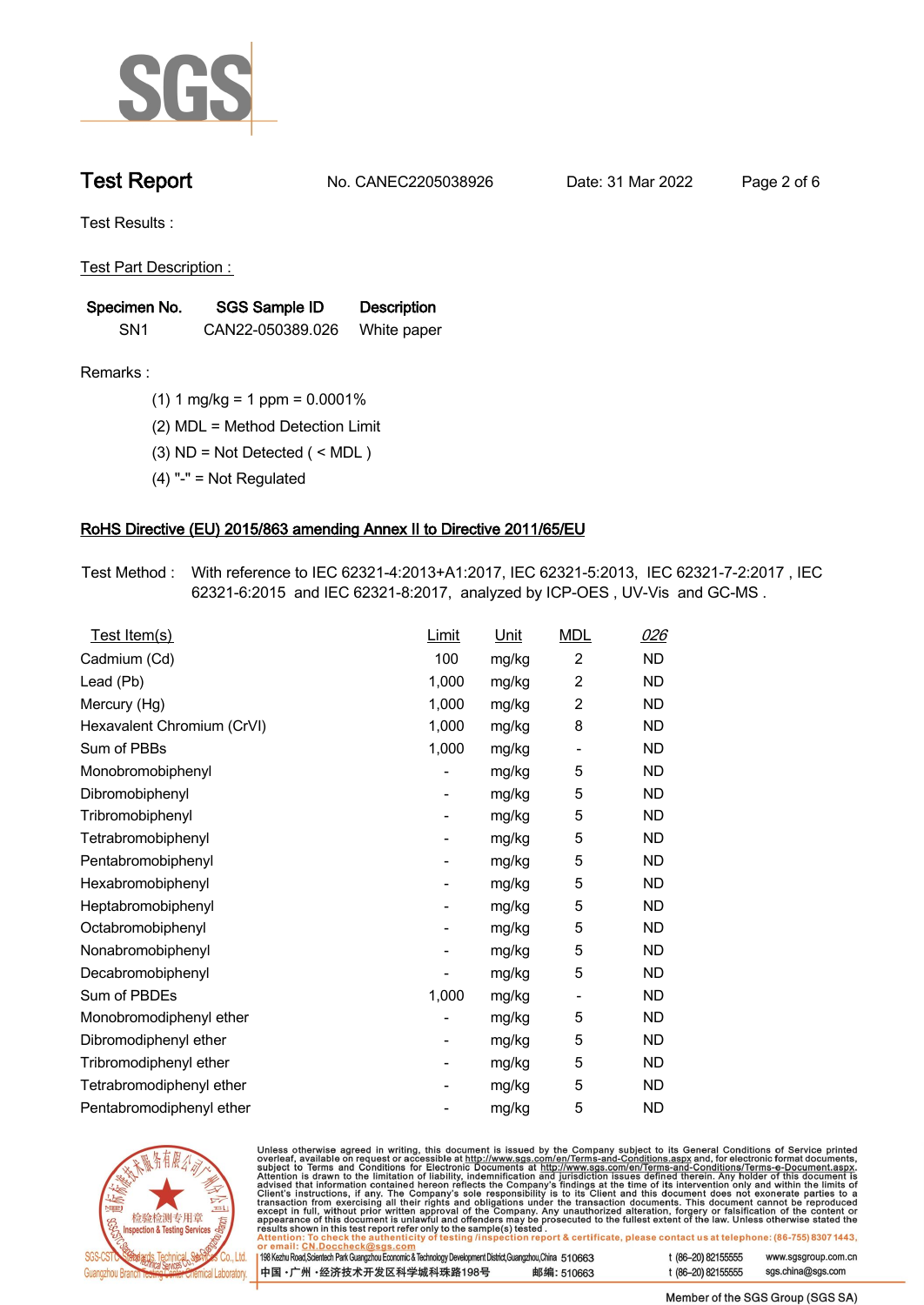

**Test Report. No. CANEC2205038926 . Date: 31 Mar 2022 . Page 2 of 6.**

**Test Results :.**

**Test Part Description : .**

| Specimen No.    | SGS Sample ID    | <b>Description</b> |  |
|-----------------|------------------|--------------------|--|
| SN <sub>1</sub> | CAN22-050389.026 | White paper        |  |

- **Remarks :.(1) 1 mg/kg = 1 ppm = 0.0001% .**
	- **(2) MDL = Method Detection Limit .**
	- **(3) ND = Not Detected ( < MDL ) .**
	- **(4) "-" = Not Regulated .**

## **RoHS Directive (EU) 2015/863 amending Annex II to Directive 2011/65/EU.**

**Test Method :. With reference to IEC 62321-4:2013+A1:2017, IEC 62321-5:2013, IEC 62321-7-2:2017 , IEC 62321-6:2015 and IEC 62321-8:2017, analyzed by ICP-OES , UV-Vis and GC-MS . .**

| Test Item(s)               | Limit | <u>Unit</u> | <b>MDL</b>               | <u>026</u> |
|----------------------------|-------|-------------|--------------------------|------------|
| Cadmium (Cd)               | 100   | mg/kg       | $\overline{2}$           | <b>ND</b>  |
| Lead (Pb)                  | 1,000 | mg/kg       | $\overline{2}$           | ND.        |
| Mercury (Hg)               | 1,000 | mg/kg       | $\overline{2}$           | <b>ND</b>  |
| Hexavalent Chromium (CrVI) | 1,000 | mg/kg       | 8                        | <b>ND</b>  |
| Sum of PBBs                | 1,000 | mg/kg       | $\overline{\phantom{a}}$ | <b>ND</b>  |
| Monobromobiphenyl          |       | mg/kg       | 5                        | ND.        |
| Dibromobiphenyl            | -     | mg/kg       | 5                        | <b>ND</b>  |
| Tribromobiphenyl           | -     | mg/kg       | 5                        | <b>ND</b>  |
| Tetrabromobiphenyl         |       | mg/kg       | 5                        | <b>ND</b>  |
| Pentabromobiphenyl         | -     | mg/kg       | 5                        | <b>ND</b>  |
| Hexabromobiphenyl          |       | mg/kg       | 5                        | ND.        |
| Heptabromobiphenyl         |       | mg/kg       | 5                        | ND.        |
| Octabromobiphenyl          | -     | mg/kg       | 5                        | <b>ND</b>  |
| Nonabromobiphenyl          |       | mg/kg       | 5                        | <b>ND</b>  |
| Decabromobiphenyl          |       | mg/kg       | 5                        | <b>ND</b>  |
| Sum of PBDEs               | 1,000 | mg/kg       | $\overline{\phantom{a}}$ | <b>ND</b>  |
| Monobromodiphenyl ether    |       | mg/kg       | 5                        | ND.        |
| Dibromodiphenyl ether      |       | mg/kg       | 5                        | <b>ND</b>  |
| Tribromodiphenyl ether     | -     | mg/kg       | 5                        | <b>ND</b>  |
| Tetrabromodiphenyl ether   |       | mg/kg       | 5                        | <b>ND</b>  |
| Pentabromodiphenyl ether   |       | mg/kg       | 5                        | <b>ND</b>  |



Unless otherwise agreed in writing, this document is issued by the Company subject to its General Conditions of Service printed overleaf, available on request or accessible at http://www.sgs.com/en/Terms-and-Conditions.as

| or email: CN.Doccheck@sqs.com                                                                                |            |                    |                     |
|--------------------------------------------------------------------------------------------------------------|------------|--------------------|---------------------|
| 198 Kezhu Road, Scientech Park Guangzhou Economic & Technology Development District, Guangzhou, China 510663 |            | t (86–20) 82155555 | www.sgsgroup.com.cn |
| ┃中国 •广州 •经济技术开发区科学城科珠路198号 ↓                                                                                 | 邮编: 510663 | t (86–20) 82155555 | sgs.china@sgs.com   |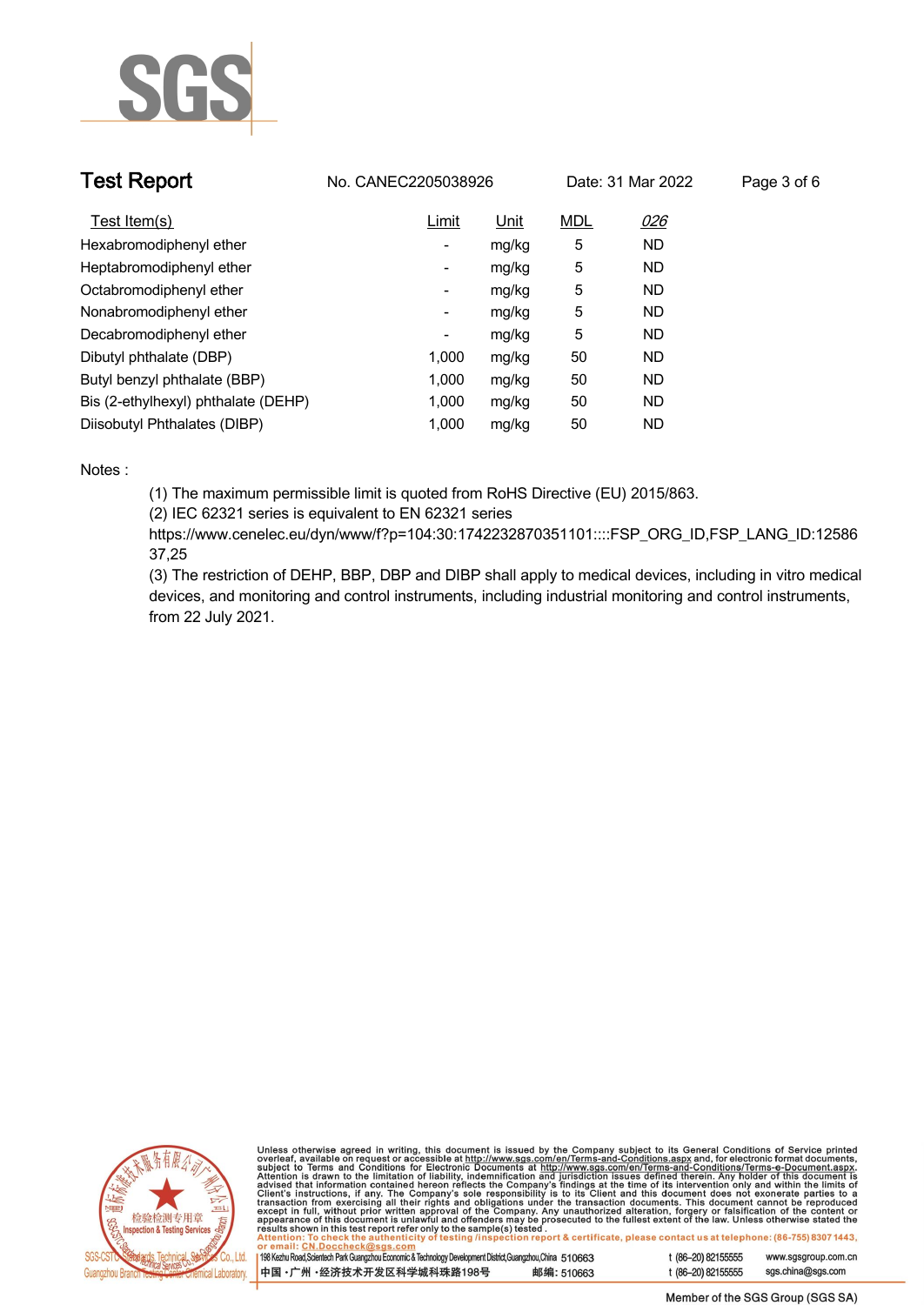

| <b>Test Report</b>                  | No. CANEC2205038926      |             |            | Date: 31 Mar 2022 | Page 3 of 6 |
|-------------------------------------|--------------------------|-------------|------------|-------------------|-------------|
| Test Item(s)                        | Limit                    | <u>Unit</u> | <b>MDL</b> | 026               |             |
| Hexabromodiphenyl ether             | ٠                        | mg/kg       | 5          | <b>ND</b>         |             |
| Heptabromodiphenyl ether            | ٠                        | mg/kg       | 5          | <b>ND</b>         |             |
| Octabromodiphenyl ether             | $\overline{\phantom{a}}$ | mg/kg       | 5          | <b>ND</b>         |             |
| Nonabromodiphenyl ether             | $\overline{\phantom{a}}$ | mg/kg       | 5          | <b>ND</b>         |             |
| Decabromodiphenyl ether             | -                        | mg/kg       | 5          | <b>ND</b>         |             |
| Dibutyl phthalate (DBP)             | 1.000                    | mg/kg       | 50         | <b>ND</b>         |             |
| Butyl benzyl phthalate (BBP)        | 1.000                    | mg/kg       | 50         | <b>ND</b>         |             |
| Bis (2-ethylhexyl) phthalate (DEHP) | 1.000                    | mg/kg       | 50         | <b>ND</b>         |             |
| Diisobutyl Phthalates (DIBP)        | 1.000                    | mg/kg       | 50         | ND                |             |

### **Notes :.**

**(1) The maximum permissible limit is quoted from RoHS Directive (EU) 2015/863.**

**(2) IEC 62321 series is equivalent to EN 62321 series**

**https://www.cenelec.eu/dyn/www/f?p=104:30:1742232870351101::::FSP\_ORG\_ID,FSP\_LANG\_ID:12586 37,25**

**(3) The restriction of DEHP, BBP, DBP and DIBP shall apply to medical devices, including in vitro medical devices, and monitoring and control instruments, including industrial monitoring and control instruments, from 22 July 2021..**



Unless otherwise agreed in writing, this document is issued by the Company subject to its General Conditions of Service printed<br>overleaf, available on request or accessible at http://www.sgs.com/en/Terms-and-Conditions.as

| 198 Kezhu Road,Scientech Park Guangzhou Economic & Technology Development District,Guangzhou,China   51 O663 |            |  |
|--------------------------------------------------------------------------------------------------------------|------------|--|
| 中国 •广州 •经济技术开发区科学城科珠路198号                                                                                    | 邮编: 510663 |  |

www.sgsgroup.com.cn

t (86-20) 82155555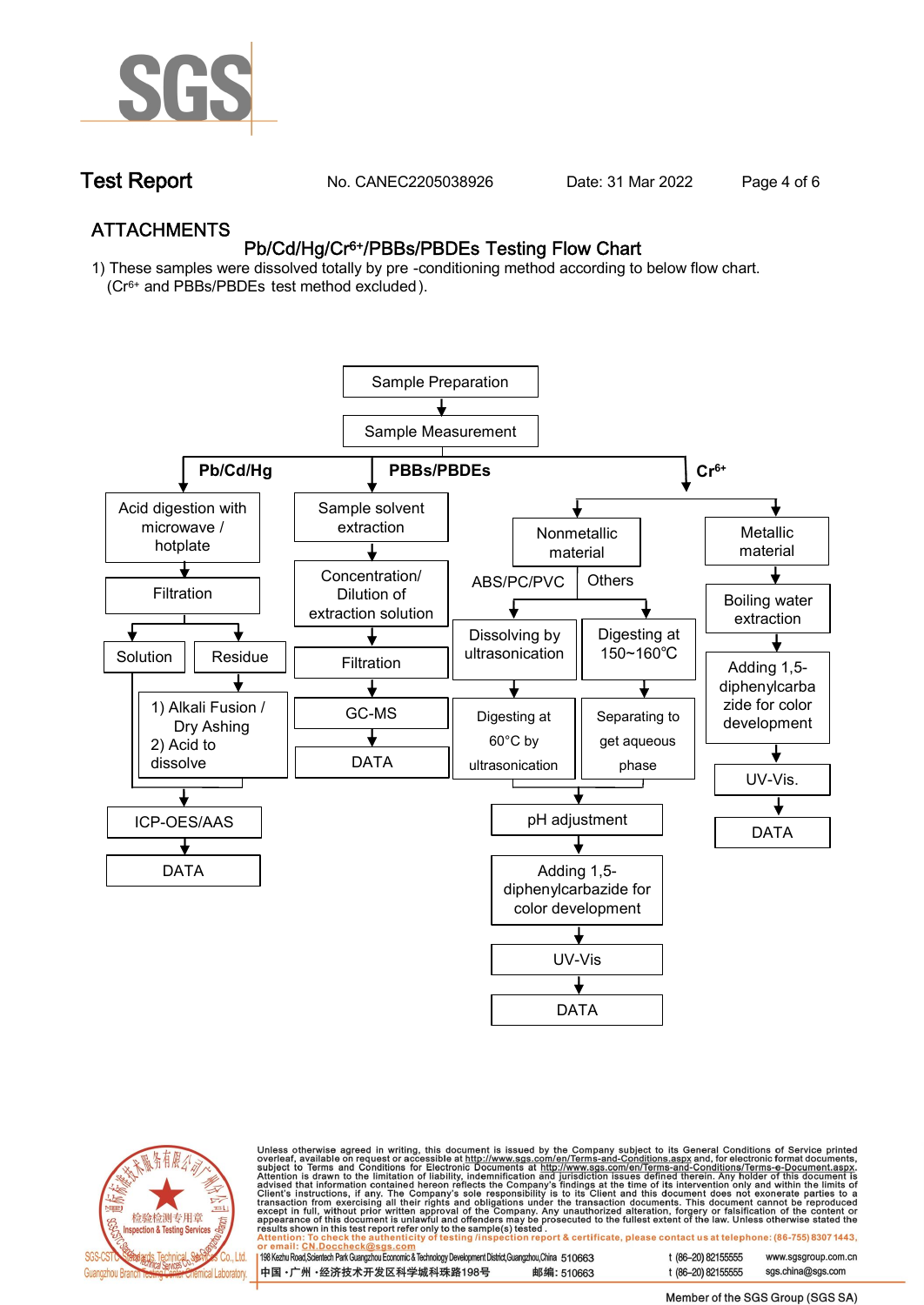

**Test Report. No. CANEC2205038926 . Date: 31 Mar 2022 . Page 4 of 6.**

## **ATTACHMENTS Pb/Cd/Hg/Cr6+/PBBs/PBDEs Testing Flow Chart**

**1) These samples were dissolved totally by pre -conditioning method according to below flow chart. (Cr6+ and PBBs/PBDEs test method excluded ).**





Unless otherwise agreed in writing, this document is issued by the Company subject to its General Conditions of Service printed<br>overleaf, available on request or accessible at <u>http://www.sgs.com/en/Terms-and-Conditions.a</u>

| 198 Kezhu Road,Scientech Park Guangzhou Economic & Technology Development District,Guangzhou,China   510663 |            |
|-------------------------------------------------------------------------------------------------------------|------------|
| 中国 •广州 •经济技术开发区科学城科珠路198号 ;                                                                                 | 邮编: 510663 |

t (86-20) 82155555 t (86-20) 82155555 sas.china@sas.com

www.sgsgroup.com.cn

Member of the SGS Group (SGS SA)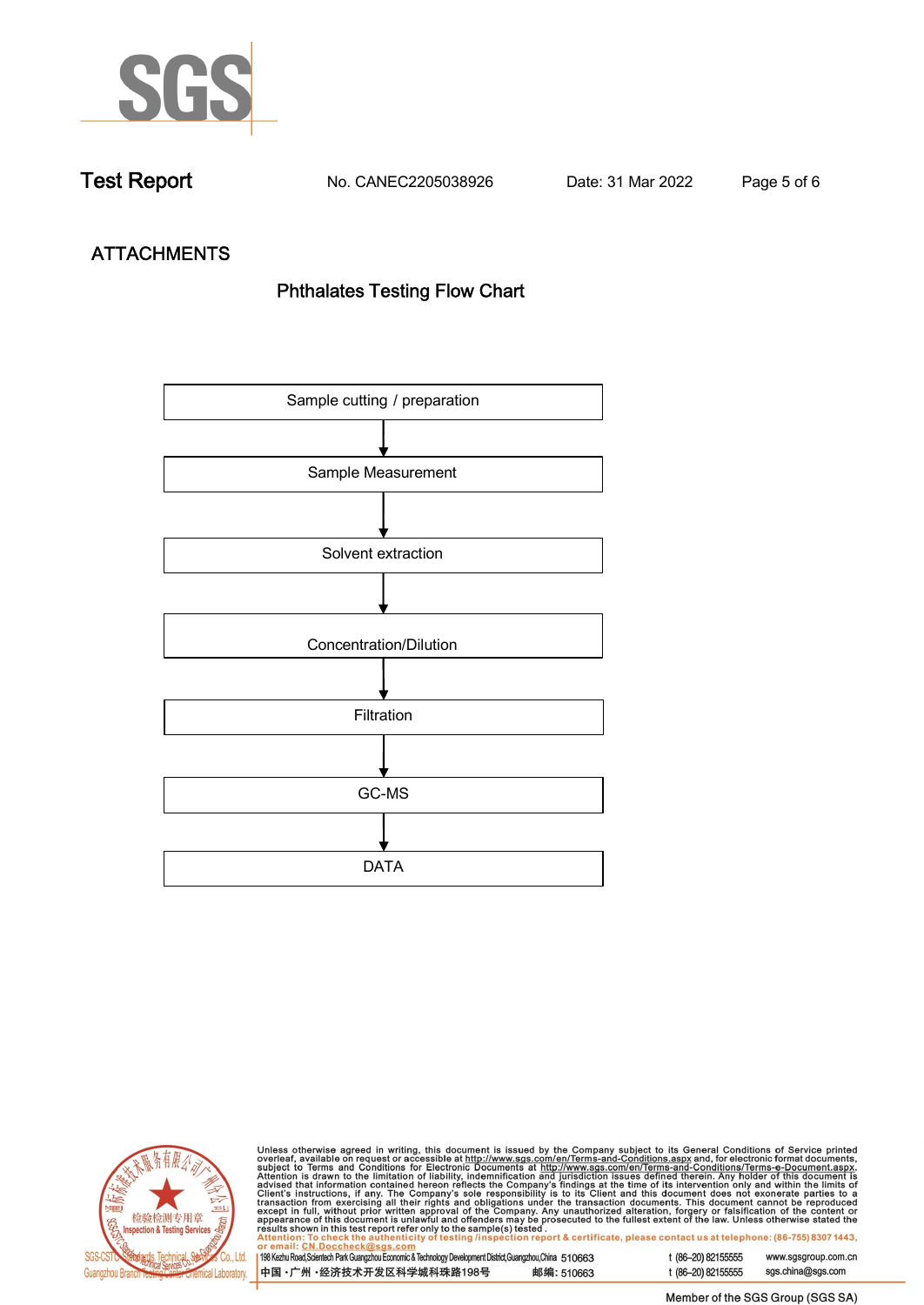

**Test Report. No. CANEC2205038926 . Date: 31 Mar 2022 . Page 5 of 6.**

# **ATTACHMENTS Phthalates Testing Flow Chart**





Unless otherwise agreed in writing, this document is issued by the Company subject to its General Conditions of Service printed<br>overleaf, available on request or accessible at http://www.sgs.com/en/Terms-and-Conditions.as

| 198 Kezhu Road,Scientech Park Guangzhou Economic & Technology Development District,Guangzhou,China 510663 |            |  |
|-----------------------------------------------------------------------------------------------------------|------------|--|
| 中国 •广州 •经济技术开发区科学城科珠路198号                                                                                 | 邮编: 510663 |  |

t (86-20) 82155555 sgs.china@sgs.com

www.sgsgroup.com.cn

t (86-20) 82155555